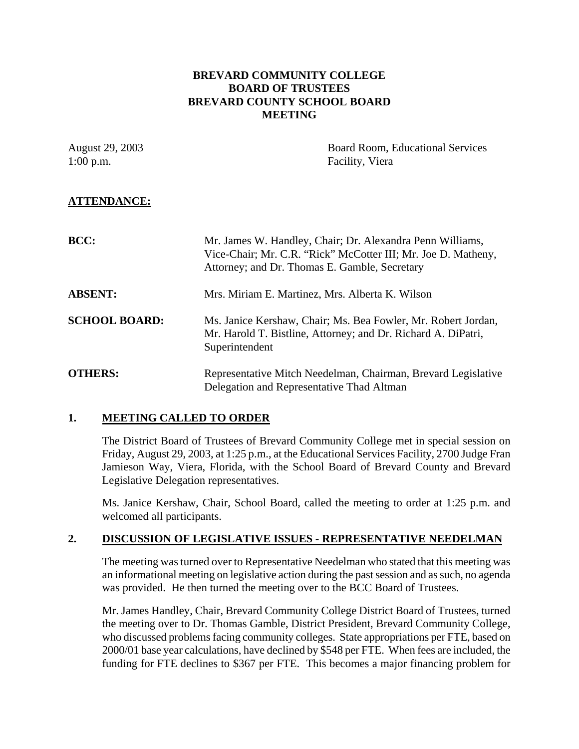## **BREVARD COMMUNITY COLLEGE BOARD OF TRUSTEES BREVARD COUNTY SCHOOL BOARD MEETING**

| August 29, 2003<br>$1:00$ p.m. | Board Room, Educational Services<br>Facility, Viera                                                                                                                         |
|--------------------------------|-----------------------------------------------------------------------------------------------------------------------------------------------------------------------------|
| <b>ATTENDANCE:</b>             |                                                                                                                                                                             |
| <b>BCC:</b>                    | Mr. James W. Handley, Chair; Dr. Alexandra Penn Williams,<br>Vice-Chair; Mr. C.R. "Rick" McCotter III; Mr. Joe D. Matheny,<br>Attorney; and Dr. Thomas E. Gamble, Secretary |
| <b>ABSENT:</b>                 | Mrs. Miriam E. Martinez, Mrs. Alberta K. Wilson                                                                                                                             |
| <b>SCHOOL BOARD:</b>           | Ms. Janice Kershaw, Chair; Ms. Bea Fowler, Mr. Robert Jordan,<br>Mr. Harold T. Bistline, Attorney; and Dr. Richard A. DiPatri,<br>Superintendent                            |
| <b>OTHERS:</b>                 | Representative Mitch Needelman, Chairman, Brevard Legislative<br>Delegation and Representative Thad Altman                                                                  |

## **1. MEETING CALLED TO ORDER**

The District Board of Trustees of Brevard Community College met in special session on Friday, August 29, 2003, at 1:25 p.m., at the Educational Services Facility, 2700 Judge Fran Jamieson Way, Viera, Florida, with the School Board of Brevard County and Brevard Legislative Delegation representatives.

Ms. Janice Kershaw, Chair, School Board, called the meeting to order at 1:25 p.m. and welcomed all participants.

## **2. DISCUSSION OF LEGISLATIVE ISSUES - REPRESENTATIVE NEEDELMAN**

The meeting was turned over to Representative Needelman who stated that this meeting was an informational meeting on legislative action during the past session and as such, no agenda was provided. He then turned the meeting over to the BCC Board of Trustees.

Mr. James Handley, Chair, Brevard Community College District Board of Trustees, turned the meeting over to Dr. Thomas Gamble, District President, Brevard Community College, who discussed problems facing community colleges. State appropriations per FTE, based on 2000/01 base year calculations, have declined by \$548 per FTE. When fees are included, the funding for FTE declines to \$367 per FTE. This becomes a major financing problem for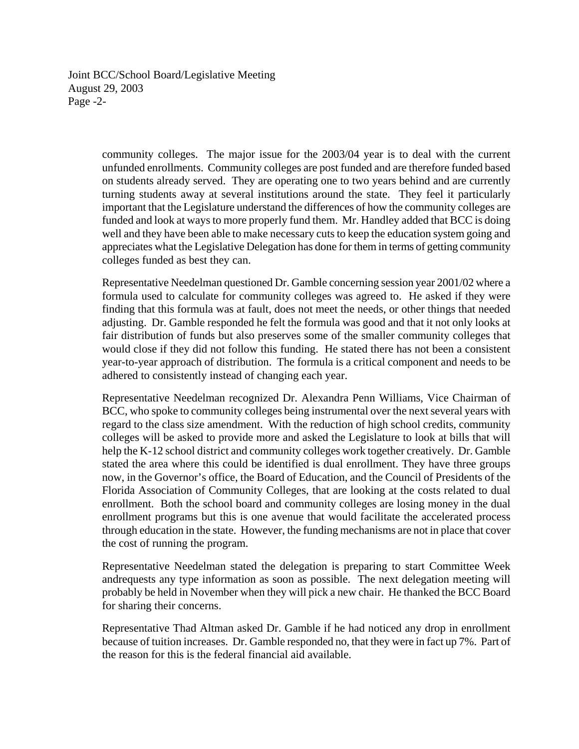Joint BCC/School Board/Legislative Meeting August 29, 2003 Page -2-

> community colleges. The major issue for the 2003/04 year is to deal with the current unfunded enrollments. Community colleges are post funded and are therefore funded based on students already served. They are operating one to two years behind and are currently turning students away at several institutions around the state. They feel it particularly important that the Legislature understand the differences of how the community colleges are funded and look at ways to more properly fund them. Mr. Handley added that BCC is doing well and they have been able to make necessary cuts to keep the education system going and appreciates what the Legislative Delegation has done for them in terms of getting community colleges funded as best they can.

> Representative Needelman questioned Dr. Gamble concerning session year 2001/02 where a formula used to calculate for community colleges was agreed to. He asked if they were finding that this formula was at fault, does not meet the needs, or other things that needed adjusting. Dr. Gamble responded he felt the formula was good and that it not only looks at fair distribution of funds but also preserves some of the smaller community colleges that would close if they did not follow this funding. He stated there has not been a consistent year-to-year approach of distribution. The formula is a critical component and needs to be adhered to consistently instead of changing each year.

> Representative Needelman recognized Dr. Alexandra Penn Williams, Vice Chairman of BCC, who spoke to community colleges being instrumental over the next several years with regard to the class size amendment. With the reduction of high school credits, community colleges will be asked to provide more and asked the Legislature to look at bills that will help the K-12 school district and community colleges work together creatively. Dr. Gamble stated the area where this could be identified is dual enrollment. They have three groups now, in the Governor's office, the Board of Education, and the Council of Presidents of the Florida Association of Community Colleges, that are looking at the costs related to dual enrollment. Both the school board and community colleges are losing money in the dual enrollment programs but this is one avenue that would facilitate the accelerated process through education in the state. However, the funding mechanisms are not in place that cover the cost of running the program.

> Representative Needelman stated the delegation is preparing to start Committee Week andrequests any type information as soon as possible. The next delegation meeting will probably be held in November when they will pick a new chair. He thanked the BCC Board for sharing their concerns.

> Representative Thad Altman asked Dr. Gamble if he had noticed any drop in enrollment because of tuition increases. Dr. Gamble responded no, that they were in fact up 7%. Part of the reason for this is the federal financial aid available.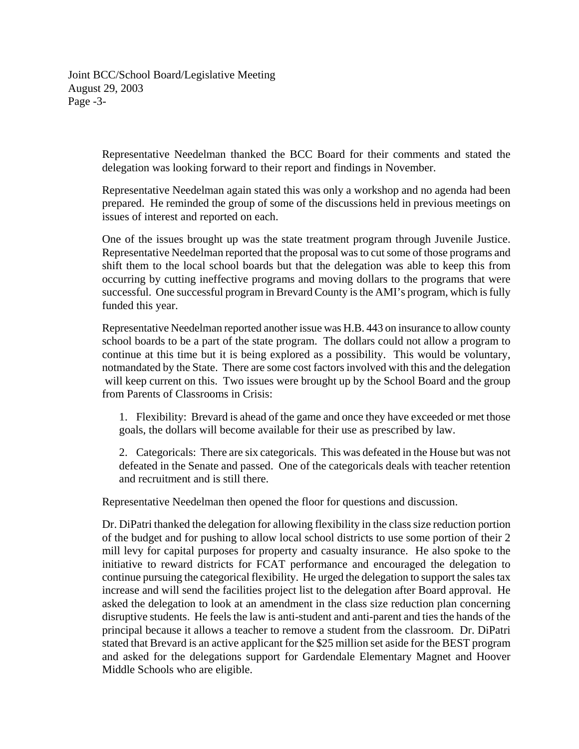Joint BCC/School Board/Legislative Meeting August 29, 2003 Page -3-

> Representative Needelman thanked the BCC Board for their comments and stated the delegation was looking forward to their report and findings in November.

> Representative Needelman again stated this was only a workshop and no agenda had been prepared. He reminded the group of some of the discussions held in previous meetings on issues of interest and reported on each.

> One of the issues brought up was the state treatment program through Juvenile Justice. Representative Needelman reported that the proposal was to cut some of those programs and shift them to the local school boards but that the delegation was able to keep this from occurring by cutting ineffective programs and moving dollars to the programs that were successful. One successful program in Brevard County is the AMI's program, which is fully funded this year.

> Representative Needelman reported another issue was H.B. 443 on insurance to allow county school boards to be a part of the state program. The dollars could not allow a program to continue at this time but it is being explored as a possibility. This would be voluntary, notmandated by the State. There are some cost factors involved with this and the delegation will keep current on this. Two issues were brought up by the School Board and the group from Parents of Classrooms in Crisis:

1. Flexibility: Brevard is ahead of the game and once they have exceeded or met those goals, the dollars will become available for their use as prescribed by law.

2. Categoricals: There are six categoricals. This was defeated in the House but was not defeated in the Senate and passed. One of the categoricals deals with teacher retention and recruitment and is still there.

Representative Needelman then opened the floor for questions and discussion.

Dr. DiPatri thanked the delegation for allowing flexibility in the class size reduction portion of the budget and for pushing to allow local school districts to use some portion of their 2 mill levy for capital purposes for property and casualty insurance. He also spoke to the initiative to reward districts for FCAT performance and encouraged the delegation to continue pursuing the categorical flexibility. He urged the delegation to support the sales tax increase and will send the facilities project list to the delegation after Board approval. He asked the delegation to look at an amendment in the class size reduction plan concerning disruptive students. He feels the law is anti-student and anti-parent and ties the hands of the principal because it allows a teacher to remove a student from the classroom. Dr. DiPatri stated that Brevard is an active applicant for the \$25 million set aside for the BEST program and asked for the delegations support for Gardendale Elementary Magnet and Hoover Middle Schools who are eligible.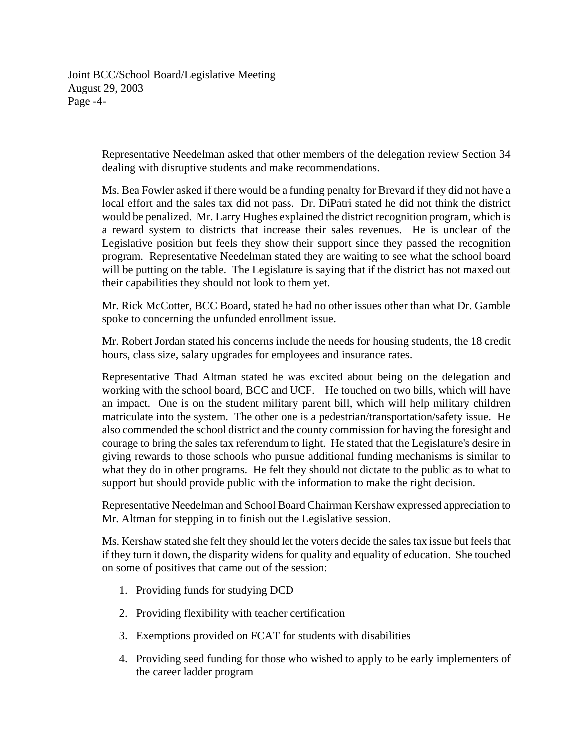Joint BCC/School Board/Legislative Meeting August 29, 2003 Page -4-

> Representative Needelman asked that other members of the delegation review Section 34 dealing with disruptive students and make recommendations.

> Ms. Bea Fowler asked if there would be a funding penalty for Brevard if they did not have a local effort and the sales tax did not pass. Dr. DiPatri stated he did not think the district would be penalized. Mr. Larry Hughes explained the district recognition program, which is a reward system to districts that increase their sales revenues. He is unclear of the Legislative position but feels they show their support since they passed the recognition program. Representative Needelman stated they are waiting to see what the school board will be putting on the table. The Legislature is saying that if the district has not maxed out their capabilities they should not look to them yet.

> Mr. Rick McCotter, BCC Board, stated he had no other issues other than what Dr. Gamble spoke to concerning the unfunded enrollment issue.

> Mr. Robert Jordan stated his concerns include the needs for housing students, the 18 credit hours, class size, salary upgrades for employees and insurance rates.

> Representative Thad Altman stated he was excited about being on the delegation and working with the school board, BCC and UCF. He touched on two bills, which will have an impact. One is on the student military parent bill, which will help military children matriculate into the system. The other one is a pedestrian/transportation/safety issue. He also commended the school district and the county commission for having the foresight and courage to bring the sales tax referendum to light. He stated that the Legislature's desire in giving rewards to those schools who pursue additional funding mechanisms is similar to what they do in other programs. He felt they should not dictate to the public as to what to support but should provide public with the information to make the right decision.

> Representative Needelman and School Board Chairman Kershaw expressed appreciation to Mr. Altman for stepping in to finish out the Legislative session.

> Ms. Kershaw stated she felt they should let the voters decide the sales tax issue but feels that if they turn it down, the disparity widens for quality and equality of education. She touched on some of positives that came out of the session:

- 1. Providing funds for studying DCD
- 2. Providing flexibility with teacher certification
- 3. Exemptions provided on FCAT for students with disabilities
- 4. Providing seed funding for those who wished to apply to be early implementers of the career ladder program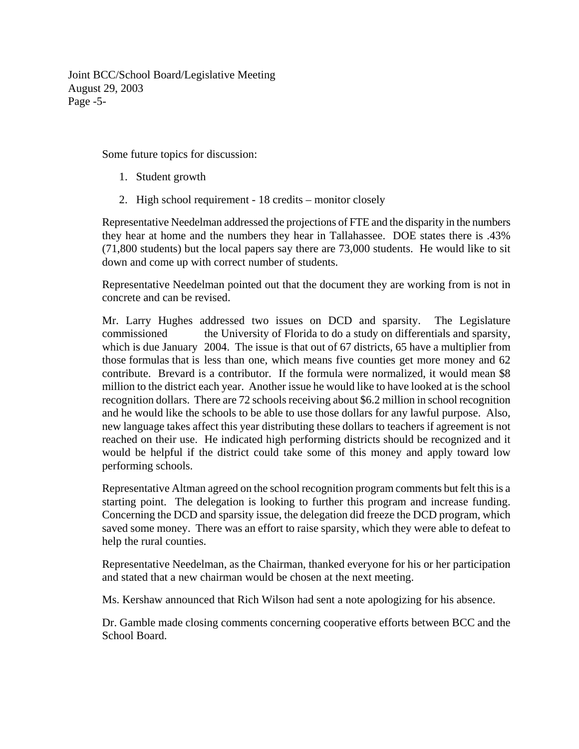Joint BCC/School Board/Legislative Meeting August 29, 2003 Page -5-

Some future topics for discussion:

- 1. Student growth
- 2. High school requirement 18 credits monitor closely

Representative Needelman addressed the projections of FTE and the disparity in the numbers they hear at home and the numbers they hear in Tallahassee. DOE states there is .43% (71,800 students) but the local papers say there are 73,000 students. He would like to sit down and come up with correct number of students.

Representative Needelman pointed out that the document they are working from is not in concrete and can be revised.

Mr. Larry Hughes addressed two issues on DCD and sparsity. The Legislature commissioned the University of Florida to do a study on differentials and sparsity, which is due January 2004. The issue is that out of 67 districts, 65 have a multiplier from those formulas that is less than one, which means five counties get more money and 62 contribute. Brevard is a contributor. If the formula were normalized, it would mean \$8 million to the district each year. Another issue he would like to have looked at is the school recognition dollars. There are 72 schools receiving about \$6.2 million in school recognition and he would like the schools to be able to use those dollars for any lawful purpose. Also, new language takes affect this year distributing these dollars to teachers if agreement is not reached on their use. He indicated high performing districts should be recognized and it would be helpful if the district could take some of this money and apply toward low performing schools.

Representative Altman agreed on the school recognition program comments but felt this is a starting point. The delegation is looking to further this program and increase funding. Concerning the DCD and sparsity issue, the delegation did freeze the DCD program, which saved some money. There was an effort to raise sparsity, which they were able to defeat to help the rural counties.

Representative Needelman, as the Chairman, thanked everyone for his or her participation and stated that a new chairman would be chosen at the next meeting.

Ms. Kershaw announced that Rich Wilson had sent a note apologizing for his absence.

Dr. Gamble made closing comments concerning cooperative efforts between BCC and the School Board.